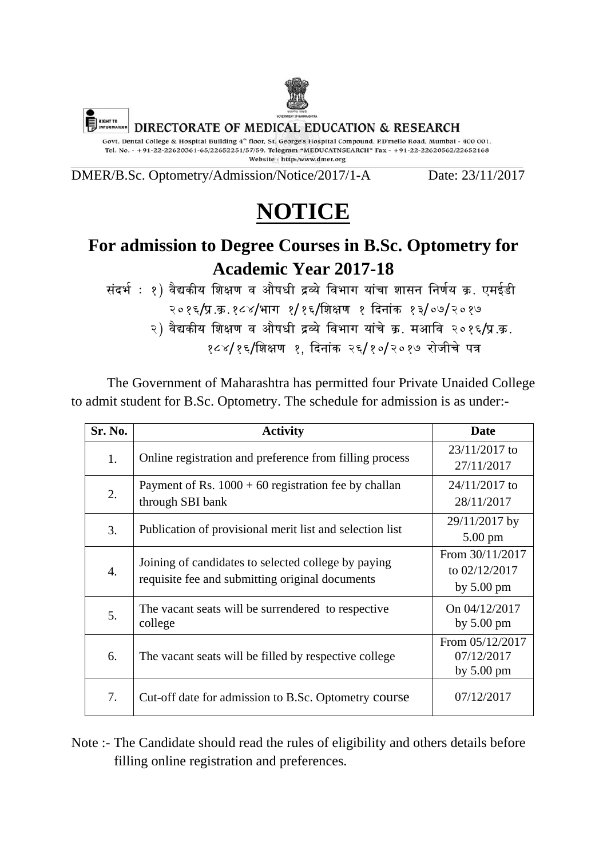DIRECTORATE OF MEDICAL EDUCATION & RESEARCH

Govt. Dental College & Hospital Building 4<sup>th</sup> floor, St. George's Hospital Compound, P.D'mello Road, Mumbai - 400 001. Tel. No. - +91-22-22620361-65/22652251/57/59. Telegram "MEDUCATNSEARCH" Fax - +91-22-22620562/22652168 Website: http:/www.dmer.org

DMER/B.Sc. Optometry/Admission/Notice/2017/1-A Date: 23/11/2017

# **NOTICE**

# **For admission to Degree Courses in B.Sc. Optometry for Academic Year 2017-18**

संदर्भ : १) वैद्यकीय शिक्षण व औषधी द्रव्ये विभाग यांचा शासन निर्णय क्र. एमईडी २०१६/प्र.क्र.१८४/भाग १/१६/शिक्षण १ दिनांक १३/०७/२०१७ २) वैद्यकीय शिक्षण व औषधी द्रव्ये विभाग यांचे क्र. मआवि २०१६/प्र.क्र. १८४/१६/शिक्षण १, दिनांक २६/१०/२०१७ रोजीचे पत्र

 The Government of Maharashtra has permitted four Private Unaided College to admit student for B.Sc. Optometry. The schedule for admission is as under:-

| Sr. No. | <b>Activity</b>                                                                                        | Date                                                     |
|---------|--------------------------------------------------------------------------------------------------------|----------------------------------------------------------|
| 1.      | Online registration and preference from filling process                                                | $23/11/2017$ to<br>27/11/2017                            |
| 2.      | Payment of Rs. $1000 + 60$ registration fee by challan<br>through SBI bank                             | 24/11/2017 to<br>28/11/2017                              |
| 3.      | Publication of provisional merit list and selection list                                               | 29/11/2017 by<br>5.00 pm                                 |
| 4.      | Joining of candidates to selected college by paying<br>requisite fee and submitting original documents | From 30/11/2017<br>to 02/12/2017<br>by $5.00 \text{ pm}$ |
| 5.      | The vacant seats will be surrendered to respective<br>college                                          | On 04/12/2017<br>by $5.00 \text{ pm}$                    |
| 6.      | The vacant seats will be filled by respective college                                                  | From 05/12/2017<br>07/12/2017<br>by $5.00 \text{ pm}$    |
| 7.      | Cut-off date for admission to B.Sc. Optometry course                                                   | 07/12/2017                                               |

Note :- The Candidate should read the rules of eligibility and others details before filling online registration and preferences.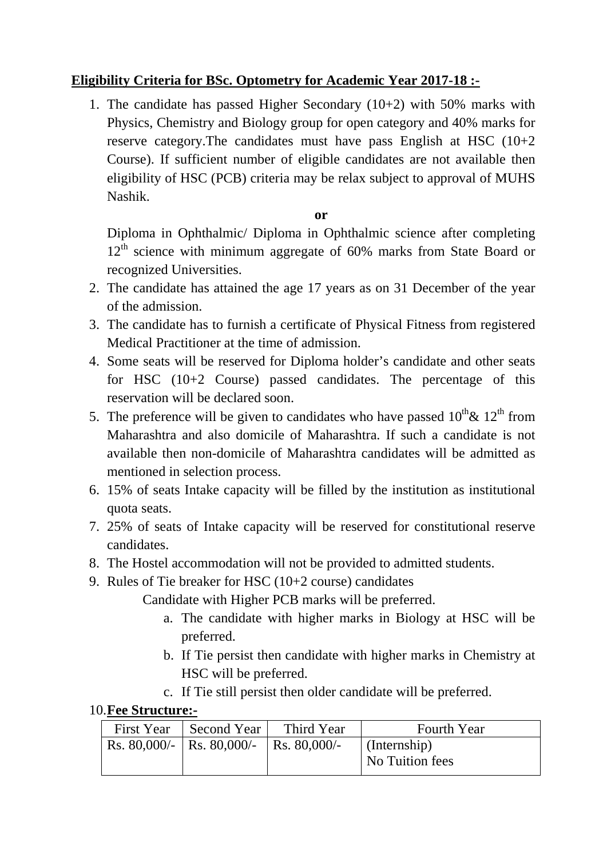# **Eligibility Criteria for BSc. Optometry for Academic Year 2017-18 :-**

1. The candidate has passed Higher Secondary (10+2) with 50% marks with Physics, Chemistry and Biology group for open category and 40% marks for reserve category.The candidates must have pass English at HSC (10+2 Course). If sufficient number of eligible candidates are not available then eligibility of HSC (PCB) criteria may be relax subject to approval of MUHS Nashik.

#### **or**

Diploma in Ophthalmic/ Diploma in Ophthalmic science after completing  $12<sup>th</sup>$  science with minimum aggregate of 60% marks from State Board or recognized Universities.

- 2. The candidate has attained the age 17 years as on 31 December of the year of the admission.
- 3. The candidate has to furnish a certificate of Physical Fitness from registered Medical Practitioner at the time of admission.
- 4. Some seats will be reserved for Diploma holder's candidate and other seats for HSC (10+2 Course) passed candidates. The percentage of this reservation will be declared soon.
- 5. The preference will be given to candidates who have passed  $10^{th} \& 12^{th}$  from Maharashtra and also domicile of Maharashtra. If such a candidate is not available then non-domicile of Maharashtra candidates will be admitted as mentioned in selection process.
- 6. 15% of seats Intake capacity will be filled by the institution as institutional quota seats.
- 7. 25% of seats of Intake capacity will be reserved for constitutional reserve candidates.
- 8. The Hostel accommodation will not be provided to admitted students.
- 9. Rules of Tie breaker for HSC (10+2 course) candidates

Candidate with Higher PCB marks will be preferred.

- a. The candidate with higher marks in Biology at HSC will be preferred.
- b. If Tie persist then candidate with higher marks in Chemistry at HSC will be preferred.
- c. If Tie still persist then older candidate will be preferred.

## 10.**Fee Structure:-**

| First Year | Second Year                                | Third Year | Fourth Year                            |
|------------|--------------------------------------------|------------|----------------------------------------|
|            | Rs. 80,000/-   Rs. 80,000/-   Rs. 80,000/- |            | $\int$ (Internship)<br>No Tuition fees |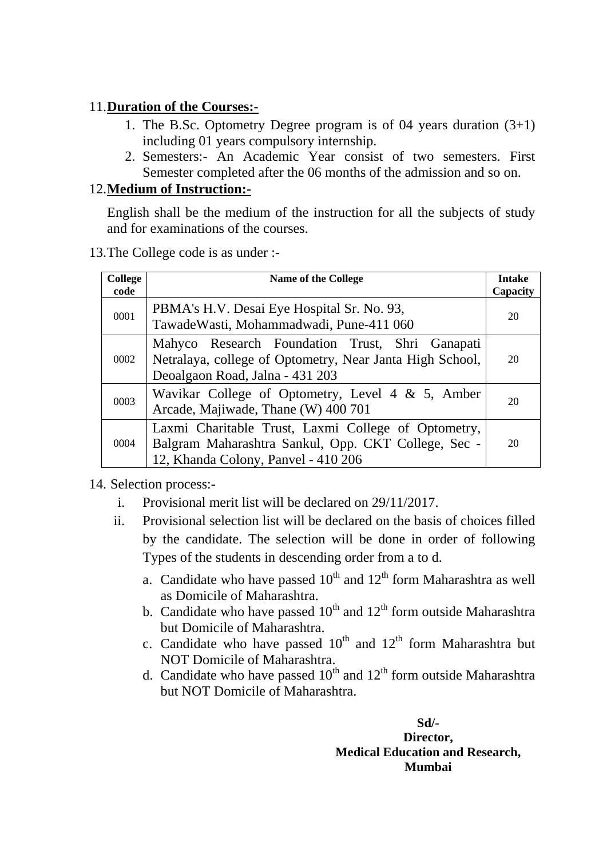## 11.**Duration of the Courses:-**

- 1. The B.Sc. Optometry Degree program is of 04 years duration (3+1) including 01 years compulsory internship.
- 2. Semesters:- An Academic Year consist of two semesters. First Semester completed after the 06 months of the admission and so on.

# 12.**Medium of Instruction:-**

English shall be the medium of the instruction for all the subjects of study and for examinations of the courses.

13.The College code is as under :-

| <b>College</b><br>code | <b>Name of the College</b>                                                                                                                        |    |  |  |  |
|------------------------|---------------------------------------------------------------------------------------------------------------------------------------------------|----|--|--|--|
| 0001                   | PBMA's H.V. Desai Eye Hospital Sr. No. 93,<br>TawadeWasti, Mohammadwadi, Pune-411 060                                                             | 20 |  |  |  |
| 0002                   | Mahyco Research Foundation Trust, Shri Ganapati<br>Netralaya, college of Optometry, Near Janta High School,<br>Deoalgaon Road, Jalna - 431 203    | 20 |  |  |  |
| 0003                   | Wavikar College of Optometry, Level 4 & 5, Amber<br>Arcade, Majiwade, Thane (W) 400 701                                                           | 20 |  |  |  |
| 0004                   | Laxmi Charitable Trust, Laxmi College of Optometry,<br>Balgram Maharashtra Sankul, Opp. CKT College, Sec -<br>12, Khanda Colony, Panvel - 410 206 | 20 |  |  |  |

## 14. Selection process:-

- i. Provisional merit list will be declared on 29/11/2017.
- ii. Provisional selection list will be declared on the basis of choices filled by the candidate. The selection will be done in order of following Types of the students in descending order from a to d.
	- a. Candidate who have passed  $10^{th}$  and  $12^{th}$  form Maharashtra as well as Domicile of Maharashtra.
	- b. Candidate who have passed  $10<sup>th</sup>$  and  $12<sup>th</sup>$  form outside Maharashtra but Domicile of Maharashtra.
	- c. Candidate who have passed  $10<sup>th</sup>$  and  $12<sup>th</sup>$  form Maharashtra but NOT Domicile of Maharashtra.
	- d. Candidate who have passed  $10^{th}$  and  $12^{th}$  form outside Maharashtra but NOT Domicile of Maharashtra.

**Sd/- Director, Medical Education and Research, Mumbai**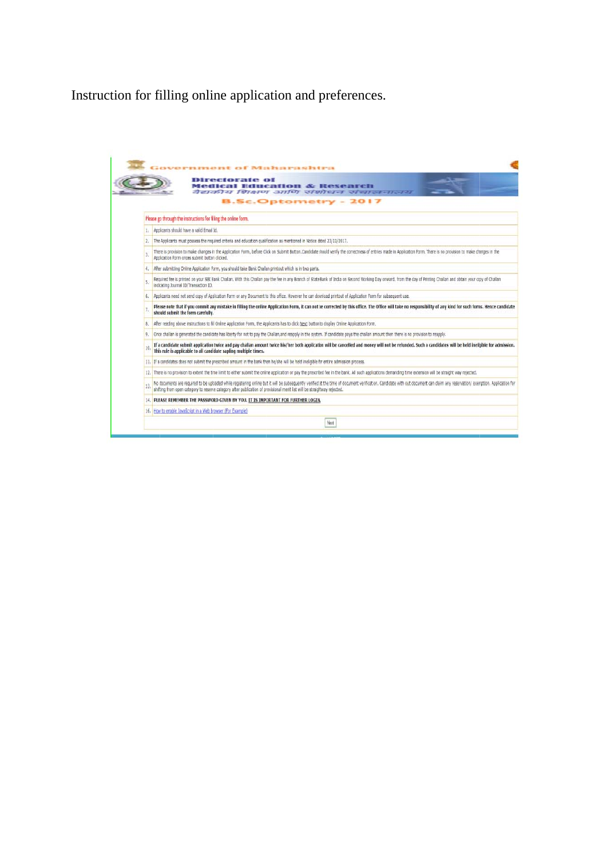Instruction for filling online application and preferences.

**Government of Maharashtra** Directorate of<br>Medical Education & Research<br>*वैदाकीय शिक्षण आणि संशोधन संचा*र **B.Sc.Optometry - 2017** Please go through the instructions for filling the online form. 1. Applicants should have a valid Email Id. 2. The Applicants must possess the required criteria and education qualification as mentioned in Notice dated 23/11/2017. 3. There is provision to make changes in the Application Form, before Click on Submit Button. Candidate should verify the correctness of entries made in Application Form. There is no provision to make changes in the<br>Applic 4. After submitting Online Application Form, you should take Bank Challan printout which is in two parts. 5. Required fee is printed on your SBI Bank Challan, With this Challan pay the fee in any Branch of State Bank of India on Second Working Day onward, from the day of Printing Challan and obtain your copy of Challan 6. Applicants need not send copy of Application Form or any Document to this office. However he can download printout of Application Form for subsequent use. Please note that if you commit any mistake in filling the online Application Form, it can not be corrected by this office. The Office will take no responsibility of any kind for such forms. Hence candidate 8. After reading above instructions to fil Online Application Form, the Applicants has to click Next button to display Online Application Form. 9. Once challan is generated the candidate has liberty for not to pay the Challan, and reapply in the system. If candidate pays the challan amount then there is no provision to reapply.  $10$ . If a candidate submit application twice and pay challan amount twice his/her both application will be cancelled and money will not be refunded. Such a candidates will be held ineligible for admission.<br>This rule is a 11. If a candidates does not submit the prescribed amount in the bank then he/she will be held ineligible for entire admission process. 12. There is no provision to extent the time limit to either submit the online application or pay the prescribed fee in the bank. All such applications demanding time extension will be straight way rejected 13. No documents are required to be uploaded while registering online but it will be subsequently verified at the time of document verification. Candidate with out document can claim any reservation/ exemption. Application 14. PLEASE REMEMBER THE PASSWORD GIVEN BY YOU. IT IS IMPORTANT FOR FURTHER LOGIN. 16. How to enable JavaScript in a Web browser (For Example)  $Next$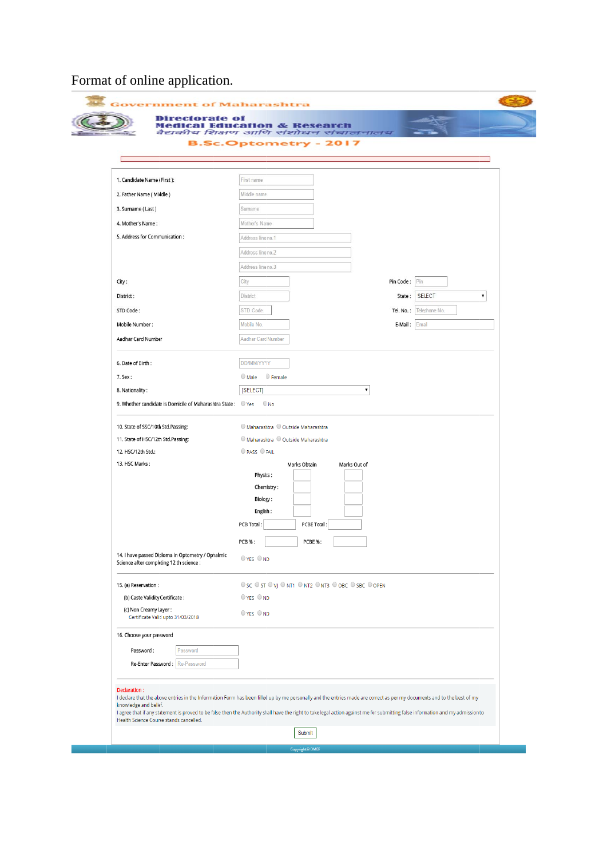# Format of online application.

|                                                                          | cation & Research<br>वैद्यकीय शिक्षण आणि संशोधन संचालनालय                                                                                                                                                                                                                                                                                                   |
|--------------------------------------------------------------------------|-------------------------------------------------------------------------------------------------------------------------------------------------------------------------------------------------------------------------------------------------------------------------------------------------------------------------------------------------------------|
|                                                                          | <b>B.Sc.Optometry - 2017</b>                                                                                                                                                                                                                                                                                                                                |
|                                                                          |                                                                                                                                                                                                                                                                                                                                                             |
| 1. Candidate Name (First):                                               | First name                                                                                                                                                                                                                                                                                                                                                  |
| 2. Father Name (Middle)                                                  | Middle name                                                                                                                                                                                                                                                                                                                                                 |
| 3. Surname (Last)                                                        | Sumame                                                                                                                                                                                                                                                                                                                                                      |
| 4. Mother's Name:                                                        | Mother's Name                                                                                                                                                                                                                                                                                                                                               |
| 5. Address for Communication:                                            | Address line no.1                                                                                                                                                                                                                                                                                                                                           |
|                                                                          | Address line no.2                                                                                                                                                                                                                                                                                                                                           |
|                                                                          | Address line no.3                                                                                                                                                                                                                                                                                                                                           |
| City:                                                                    | City<br>Pin Code: Pin                                                                                                                                                                                                                                                                                                                                       |
| District:                                                                | <b>SELECT</b><br>District<br>State:<br>7                                                                                                                                                                                                                                                                                                                    |
| STD Code:                                                                | STD Code<br>Tel. No.: Telephone No.                                                                                                                                                                                                                                                                                                                         |
| Mobile Number:                                                           | Mobile No.<br>E-Mail: Email                                                                                                                                                                                                                                                                                                                                 |
| Aadhar Card Number                                                       | Aadhar Card Number                                                                                                                                                                                                                                                                                                                                          |
|                                                                          |                                                                                                                                                                                                                                                                                                                                                             |
| 6. Date of Birth:                                                        | <b>DD/MM/YYYY</b>                                                                                                                                                                                                                                                                                                                                           |
| $7.$ Sex :                                                               | ● Male ● Female                                                                                                                                                                                                                                                                                                                                             |
| 8. Nationality:                                                          | [SELECT]<br>$\pmb{\mathrm{v}}$                                                                                                                                                                                                                                                                                                                              |
| 9. Whether candidate is Domicile of Maharashtra State: O Yes O No        |                                                                                                                                                                                                                                                                                                                                                             |
|                                                                          |                                                                                                                                                                                                                                                                                                                                                             |
| 10. State of SSC/10th Std.Passing:<br>11. State of HSC/12th Std.Passing: | O Maharashtra O Outside Maharashtra<br>O Maharashtra O Outside Maharashtra                                                                                                                                                                                                                                                                                  |
| 12. HSC/12th Std.:                                                       | O PASS O FAIL                                                                                                                                                                                                                                                                                                                                               |
| 13. HSC Marks:                                                           | Marks Obtain<br>Marks Out of                                                                                                                                                                                                                                                                                                                                |
|                                                                          | Physics :                                                                                                                                                                                                                                                                                                                                                   |
|                                                                          | Chemistry:                                                                                                                                                                                                                                                                                                                                                  |
|                                                                          | Biology:<br>English:                                                                                                                                                                                                                                                                                                                                        |
|                                                                          | PCBE Total:<br>PCB Total:                                                                                                                                                                                                                                                                                                                                   |
|                                                                          | PCB%:<br>PCBE %:                                                                                                                                                                                                                                                                                                                                            |
|                                                                          |                                                                                                                                                                                                                                                                                                                                                             |
| 14. I have passed Diploma in Optometry / Ophalmic                        |                                                                                                                                                                                                                                                                                                                                                             |
| Science after completing 12 th science :                                 | $OYES$ $ONO$                                                                                                                                                                                                                                                                                                                                                |
| 15. (a) Reservation :                                                    | Osc Ost Ovj Ont1 Ont2 Ont3 OOBC OSBC OOPEN                                                                                                                                                                                                                                                                                                                  |
| (b) Caste Validity Certificate:                                          | $OYES$ $ONO$                                                                                                                                                                                                                                                                                                                                                |
| (c) Non Creamy Layer :<br>Certificate Valid upto 31/03/2018              | $OYES$ $ONO$                                                                                                                                                                                                                                                                                                                                                |
| 16. Choose your password                                                 |                                                                                                                                                                                                                                                                                                                                                             |
| Password:<br>Password                                                    |                                                                                                                                                                                                                                                                                                                                                             |
| Re-Enter Password: Re-Password                                           |                                                                                                                                                                                                                                                                                                                                                             |
| Declaration:                                                             |                                                                                                                                                                                                                                                                                                                                                             |
| knowledge and belief.<br>Health Science Course stands cancelled.         | I declare that the above entries in the Information Form has been filled up by me personally and the entries made are correct as per my documents and to the best of my<br>I agree that if any statement is proved to be false then the Authority shall have the right to take legal action against me for submitting false information and my admission to |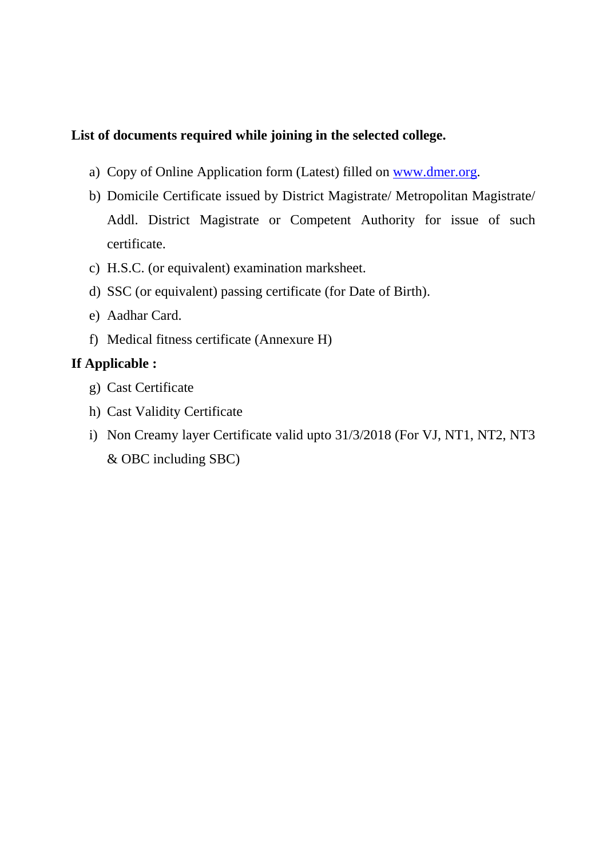#### **List of documents required while joining in the selected college.**

- a) Copy of Online Application form (Latest) filled on www.dmer.org.
- b) Domicile Certificate issued by District Magistrate/ Metropolitan Magistrate/ Addl. District Magistrate or Competent Authority for issue of such certificate.
- c) H.S.C. (or equivalent) examination marksheet.
- d) SSC (or equivalent) passing certificate (for Date of Birth).
- e) Aadhar Card.
- f) Medical fitness certificate (Annexure H)

## **If Applicable :**

- g) Cast Certificate
- h) Cast Validity Certificate
- i) Non Creamy layer Certificate valid upto 31/3/2018 (For VJ, NT1, NT2, NT3 & OBC including SBC)